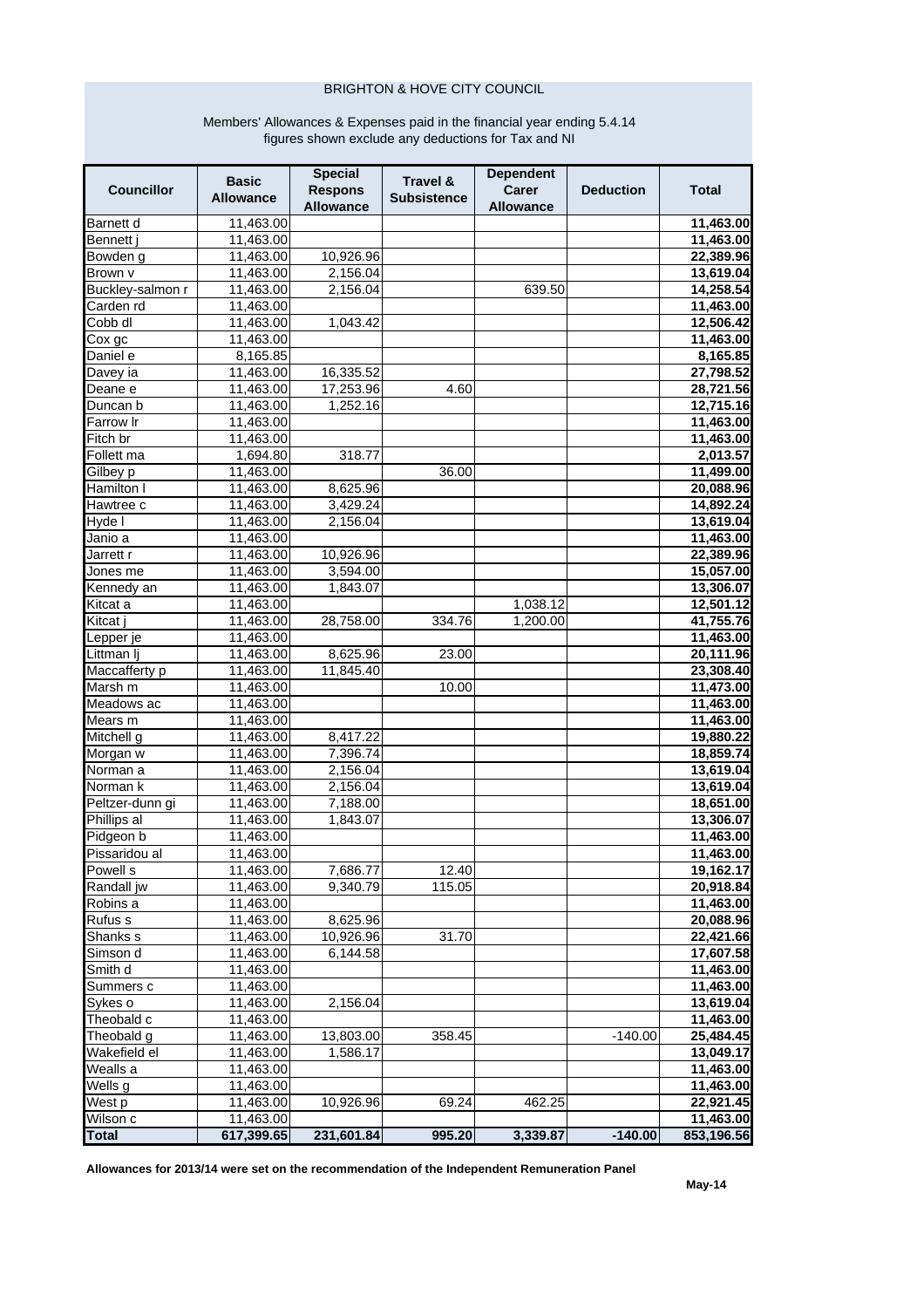## **BRIGHTON & HOVE CITY COUNCIL**

## Members' Allowances & Expenses paid in the financial year ending 5.4.14<br>figures shown exclude any deductions for Tax and NI

| <b>Councillor</b>    | <b>Basic</b><br><b>Allowance</b> | <b>Special</b><br><b>Respons</b><br><b>Allowance</b> | Travel &<br><b>Subsistence</b> | <b>Dependent</b><br>Carer<br><b>Allowance</b> | <b>Deduction</b> | <b>Total</b>           |
|----------------------|----------------------------------|------------------------------------------------------|--------------------------------|-----------------------------------------------|------------------|------------------------|
| Barnett d            | 11,463.00                        |                                                      |                                |                                               |                  | 11,463.00              |
| Bennett j            | 11,463.00                        |                                                      |                                |                                               |                  | 11,463.00              |
| Bowden g             | 11,463.00                        | 10,926.96                                            |                                |                                               |                  | 22,389.96              |
| Brown v              | 11,463.00                        | 2,156.04                                             |                                |                                               |                  | 13,619.04              |
| Buckley-salmon r     | 11,463.00                        | 2,156.04                                             |                                | 639.50                                        |                  | 14,258.54              |
| Carden rd            | 11,463.00                        |                                                      |                                |                                               |                  | 11,463.00              |
| Cobb dl              | 11,463.00                        | 1,043.42                                             |                                |                                               |                  | 12,506.42              |
| $\overline{C}$ ox gc | 11,463.00                        |                                                      |                                |                                               |                  | 11,463.00              |
| Daniel e             | 8,165.85                         |                                                      |                                |                                               |                  | 8,165.85               |
| Davey ia             | 11,463.00                        | 16,335.52                                            |                                |                                               |                  | 27,798.52              |
| Deane e              | 11,463.00                        | 17,253.96                                            | 4.60                           |                                               |                  | 28,721.56              |
| Duncan b             | 11,463.00                        | 1,252.16                                             |                                |                                               |                  | 12,715.16              |
| Farrow Ir            | 11,463.00                        |                                                      |                                |                                               |                  | 11,463.00              |
| Fitch br             | 11,463.00                        |                                                      |                                |                                               |                  | 11,463.00              |
| Follett ma           | 1,694.80                         | 318.77                                               |                                |                                               |                  | 2,013.57               |
| Gilbey p             | 11,463.00                        |                                                      | 36.00                          |                                               |                  | 11,499.00              |
| Hamilton I           | 11,463.00                        | 8,625.96                                             |                                |                                               |                  | 20,088.96              |
| Hawtree c            | 11,463.00                        | 3,429.24                                             |                                |                                               |                  | 14,892.24              |
| Hyde I               | 11,463.00                        | 2,156.04                                             |                                |                                               |                  | 13,619.04              |
| Janio a              | 11,463.00                        |                                                      |                                |                                               |                  | 11,463.00              |
| Jarrett r            | 11,463.00                        | 10,926.96                                            |                                |                                               |                  | 22,389.96              |
| Jones me             | 11,463.00                        | 3.594.00                                             |                                |                                               |                  | 15,057.00              |
| Kennedy an           | 11,463.00                        | 1,843.07                                             |                                |                                               |                  | 13,306.07              |
| Kitcat a             | 11,463.00                        |                                                      |                                | 1,038.12                                      |                  | 12,501.12              |
| Kitcat               | 11,463.00                        | 28,758.00                                            | 334.76                         | 1,200.00                                      |                  | 41,755.76              |
| Lepper je            | 11,463.00                        |                                                      |                                |                                               |                  | 11,463.00              |
| Littman lj           |                                  | 8,625.96                                             | 23.00                          |                                               |                  |                        |
| Maccafferty p        | 11,463.00<br>11,463.00           | 11,845.40                                            |                                |                                               |                  | 20,111.96<br>23,308.40 |
| Marsh m              | 11,463.00                        |                                                      | 10.00                          |                                               |                  | 11,473.00              |
| Meadows ac           | 11,463.00                        |                                                      |                                |                                               |                  |                        |
| Mears m              |                                  |                                                      |                                |                                               |                  | 11,463.00              |
|                      | 11,463.00                        |                                                      |                                |                                               |                  | 11,463.00              |
| Mitchell g           | 11,463.00                        | 8,417.22                                             |                                |                                               |                  | 19,880.22              |
| Morgan w             | 11,463.00                        | 7,396.74                                             |                                |                                               |                  | 18,859.74              |
| Norman a             | 11,463.00                        | 2,156.04                                             |                                |                                               |                  | 13,619.04              |
| Norman k             | 11,463.00                        | 2,156.04                                             |                                |                                               |                  | 13,619.04              |
| Peltzer-dunn gi      | 11,463.00                        | 7,188.00                                             |                                |                                               |                  | 18,651.00              |
| Phillips al          | 11,463.00                        | 1,843.07                                             |                                |                                               |                  | 13,306.07              |
| Pidgeon b            | 11,463.00                        |                                                      |                                |                                               |                  | 11,463.00              |
| Pissaridou al        | 11,463.00                        |                                                      |                                |                                               |                  | 11,463.00              |
| Powell s             | 11,463.00                        | 7,686.77                                             | 12.40                          |                                               |                  | 19,162.17              |
| Randall jw           | 11,463.00                        | 9,340.79                                             | 115.05                         |                                               |                  | 20,918.84              |
| Robins a             | 11,463.00                        |                                                      |                                |                                               |                  | 11,463.00              |
| Rufus s              | 11,463.00                        | 8,625.96                                             |                                |                                               |                  | 20,088.96              |
| Shanks s             | 11,463.00                        | 10,926.96                                            | 31.70                          |                                               |                  | 22,421.66              |
| Simson d             | 11,463.00                        | 6,144.58                                             |                                |                                               |                  | 17,607.58              |
| Smith d              | 11,463.00                        |                                                      |                                |                                               |                  | 11,463.00              |
| Summers c            | 11,463.00                        |                                                      |                                |                                               |                  | 11,463.00              |
| Sykes o              | 11,463.00                        | 2,156.04                                             |                                |                                               |                  | 13,619.04              |
| Theobald c           | 11,463.00                        |                                                      |                                |                                               |                  | 11,463.00              |
| Theobald g           | 11,463.00                        | 13,803.00                                            | 358.45                         |                                               | $-140.00$        | 25,484.45              |
| Wakefield el         | 11,463.00                        | 1,586.17                                             |                                |                                               |                  | 13,049.17              |
| Wealls a             | 11,463.00                        |                                                      |                                |                                               |                  | 11,463.00              |
| Wells g              | 11,463.00                        |                                                      |                                |                                               |                  | 11,463.00              |
| West p               | 11,463.00                        | 10,926.96                                            | 69.24                          | 462.25                                        |                  | 22,921.45              |
| Wilson c             | 11,463.00                        |                                                      |                                |                                               |                  | 11,463.00              |
| <b>Total</b>         | 617,399.65                       | 231,601.84                                           | 995.20                         | 3,339.87                                      | $-140.00$        | 853,196.56             |

Allowances for 2013/14 were set on the recommendation of the Independent Remuneration Panel